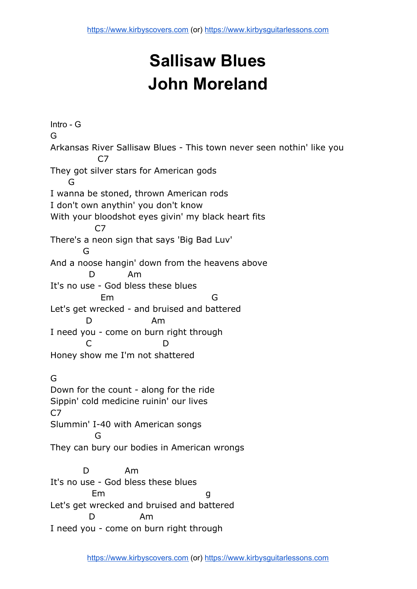## **Sallisaw Blues John Moreland**

Intro - G G Arkansas River Sallisaw Blues - This town never seen nothin' like you C7 They got silver stars for American gods G I wanna be stoned, thrown American rods I don't own anythin' you don't know With your bloodshot eyes givin' my black heart fits  $C<sub>7</sub>$ There's a neon sign that says 'Big Bad Luv' G And a noose hangin' down from the heavens above D Am It's no use - God bless these blues Em G Let's get wrecked - and bruised and battered D Am I need you - come on burn right through C D Honey show me I'm not shattered G Down for the count - along for the ride Sippin' cold medicine ruinin' our lives C7 Slummin' I-40 with American songs G They can bury our bodies in American wrongs D Am It's no use - God bless these blues Em g Let's get wrecked and bruised and battered D Am I need you - come on burn right through